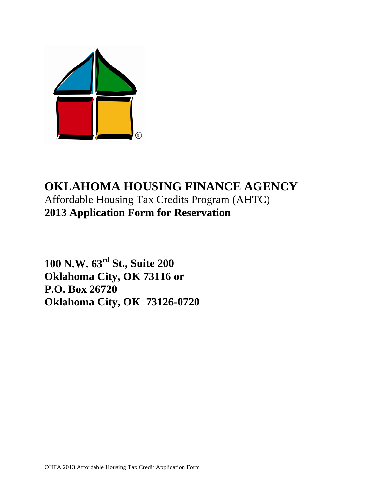

# **OKLAHOMA HOUSING FINANCE AGENCY** Affordable Housing Tax Credits Program (AHTC) **2013 Application Form for Reservation**

**100 N.W. 63rd St., Suite 200 Oklahoma City, OK 73116 or P.O. Box 26720 Oklahoma City, OK 73126-0720**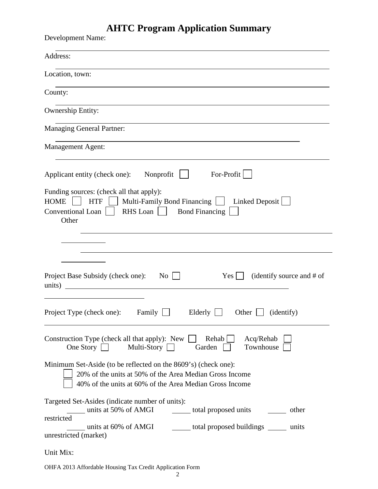# **AHTC Program Application Summary**

| <b>Development Name:</b>                                                                                                                                                                                                                                                                              |
|-------------------------------------------------------------------------------------------------------------------------------------------------------------------------------------------------------------------------------------------------------------------------------------------------------|
| Address:                                                                                                                                                                                                                                                                                              |
| Location, town:                                                                                                                                                                                                                                                                                       |
| County:                                                                                                                                                                                                                                                                                               |
| Ownership Entity:                                                                                                                                                                                                                                                                                     |
| <b>Managing General Partner:</b>                                                                                                                                                                                                                                                                      |
| <b>Management Agent:</b>                                                                                                                                                                                                                                                                              |
| $For-Profit$<br>Nonprofit<br>Applicant entity (check one):                                                                                                                                                                                                                                            |
| Funding sources: (check all that apply):<br>Multi-Family Bond Financing  <br><b>HOME</b><br><b>HTF</b><br>Linked Deposit<br>RHS Loan<br><b>Bond Financing</b><br><b>Conventional Loan</b><br>Other                                                                                                    |
| Project Base Subsidy (check one):<br>(identify source and # of<br>No<br>Yes  <br>units)                                                                                                                                                                                                               |
| Project Type (check one): Family $\Box$ Elderly $\Box$ Other $\Box$ (identify)                                                                                                                                                                                                                        |
| Acq/Rehab<br>Construction Type (check all that apply): New<br>$Rehab$    <br>One Story $\Box$<br>Townhouse<br>Multi-Story $\Box$<br>Garden                                                                                                                                                            |
| Minimum Set-Aside (to be reflected on the 8609's) (check one):<br>20% of the units at 50% of the Area Median Gross Income<br>40% of the units at 60% of the Area Median Gross Income                                                                                                                  |
| Targeted Set-Asides (indicate number of units):<br><u>units</u> at 50% of AMGI<br>_______ total proposed units __________ other<br>restricted<br>units at 60% of AMGI contact total proposed buildings contact to the set of AMGI contact to the proposed buildings<br>units<br>unrestricted (market) |
| Unit Mix:                                                                                                                                                                                                                                                                                             |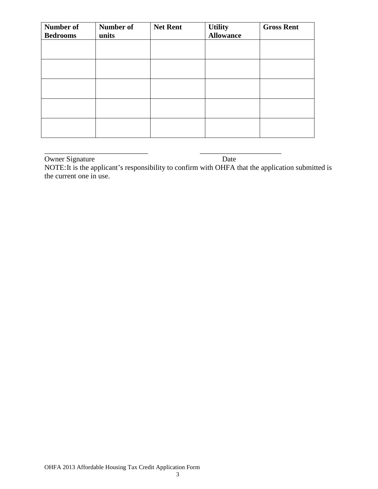| Number of<br><b>Bedrooms</b> | <b>Number of</b><br>units | <b>Net Rent</b> | <b>Utility</b><br><b>Allowance</b> | <b>Gross Rent</b> |
|------------------------------|---------------------------|-----------------|------------------------------------|-------------------|
|                              |                           |                 |                                    |                   |
|                              |                           |                 |                                    |                   |
|                              |                           |                 |                                    |                   |
|                              |                           |                 |                                    |                   |
|                              |                           |                 |                                    |                   |

\_\_\_\_\_\_\_\_\_\_\_\_\_\_\_\_\_\_\_\_\_\_\_\_\_\_\_\_ \_\_\_\_\_\_\_\_\_\_\_\_\_\_\_\_\_\_\_\_\_\_ Owner Signature Date

NOTE:It is the applicant's responsibility to confirm with OHFA that the application submitted is the current one in use.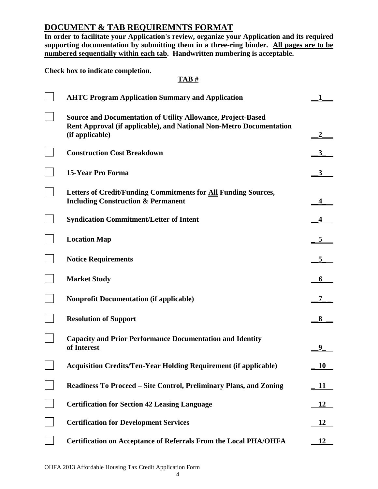# **DOCUMENT & TAB REQUIREMNTS FORMAT**

**In order to facilitate your Application's review, organize your Application and its required supporting documentation by submitting them in a three-ring binder. All pages are to be numbered sequentially within each tab. Handwritten numbering is acceptable.** 

**Check box to indicate completion.**

# **TAB #**

| <b>AHTC Program Application Summary and Application</b>                                                                                                       |           |
|---------------------------------------------------------------------------------------------------------------------------------------------------------------|-----------|
| <b>Source and Documentation of Utility Allowance, Project-Based</b><br>Rent Approval (if applicable), and National Non-Metro Documentation<br>(if applicable) |           |
| <b>Construction Cost Breakdown</b>                                                                                                                            |           |
| <b>15-Year Pro Forma</b>                                                                                                                                      |           |
| Letters of Credit/Funding Commitments for All Funding Sources,<br><b>Including Construction &amp; Permanent</b>                                               |           |
| <b>Syndication Commitment/Letter of Intent</b>                                                                                                                |           |
| <b>Location Map</b>                                                                                                                                           | 5         |
| <b>Notice Requirements</b>                                                                                                                                    |           |
| <b>Market Study</b>                                                                                                                                           |           |
| <b>Nonprofit Documentation (if applicable)</b>                                                                                                                |           |
| <b>Resolution of Support</b>                                                                                                                                  | 8         |
| <b>Capacity and Prior Performance Documentation and Identity</b><br>of Interest                                                                               |           |
| <b>Acquisition Credits/Ten-Year Holding Requirement (if applicable)</b>                                                                                       | 10        |
| Readiness To Proceed – Site Control, Preliminary Plans, and Zoning                                                                                            | 11        |
| <b>Certification for Section 42 Leasing Language</b>                                                                                                          | 12        |
| <b>Certification for Development Services</b>                                                                                                                 | <u>12</u> |
| <b>Certification on Acceptance of Referrals From the Local PHA/OHFA</b>                                                                                       | 12        |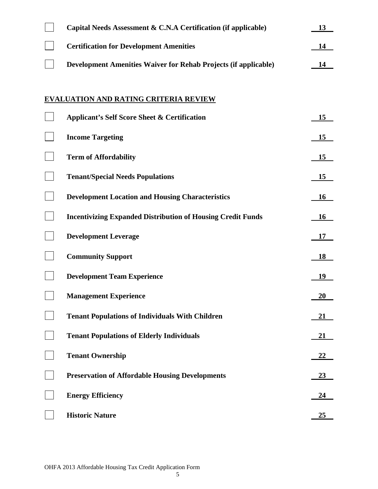| Capital Needs Assessment & C.N.A Certification (if applicable)         | 13        |
|------------------------------------------------------------------------|-----------|
| <b>Certification for Development Amenities</b>                         | 14        |
| <b>Development Amenities Waiver for Rehab Projects (if applicable)</b> | 14        |
|                                                                        |           |
| <b>EVALUATION AND RATING CRITERIA REVIEW</b>                           |           |
| <b>Applicant's Self Score Sheet &amp; Certification</b>                | 15        |
| <b>Income Targeting</b>                                                | 15        |
| <b>Term of Affordability</b>                                           | 15        |
| <b>Tenant/Special Needs Populations</b>                                | 15        |
| <b>Development Location and Housing Characteristics</b>                | 16        |
| <b>Incentivizing Expanded Distribution of Housing Credit Funds</b>     | <b>16</b> |
| <b>Development Leverage</b>                                            | <b>17</b> |
| <b>Community Support</b>                                               | 18        |
| <b>Development Team Experience</b>                                     | 19        |
| <b>Management Experience</b>                                           | 20        |
| <b>Tenant Populations of Individuals With Children</b>                 | 21        |
| <b>Tenant Populations of Elderly Individuals</b>                       | <u>21</u> |
| <b>Tenant Ownership</b>                                                | <u>22</u> |
| <b>Preservation of Affordable Housing Developments</b>                 | <u>23</u> |
| <b>Energy Efficiency</b>                                               | 24        |
| <b>Historic Nature</b>                                                 | 25        |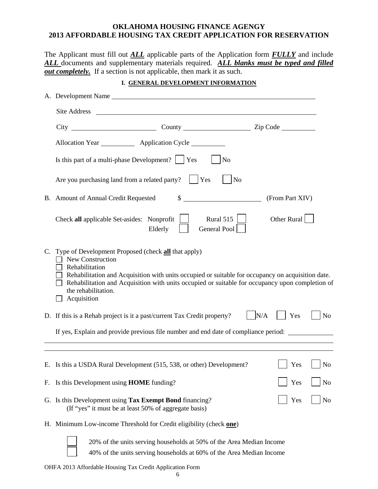## **OKLAHOMA HOUSING FINANCE AGENGY 2013 AFFORDABLE HOUSING TAX CREDIT APPLICATION FOR RESERVATION**

The Applicant must fill out *ALL* applicable parts of the Application form *FULLY* and include *ALL* documents and supplementary materials required. *ALL blanks must be typed and filled <u>out completely.</u>* If a section is not applicable, then mark it as such.

|  |  |  |  | I. GENERAL DEVELOPMENT INFORMATION |
|--|--|--|--|------------------------------------|
|--|--|--|--|------------------------------------|

|    | A. Development Name                                                                                                                                                                                                                                                                                                                        |                |  |
|----|--------------------------------------------------------------------------------------------------------------------------------------------------------------------------------------------------------------------------------------------------------------------------------------------------------------------------------------------|----------------|--|
|    |                                                                                                                                                                                                                                                                                                                                            |                |  |
|    |                                                                                                                                                                                                                                                                                                                                            |                |  |
|    | Allocation Year ____________ Application Cycle _________                                                                                                                                                                                                                                                                                   |                |  |
|    | Is this part of a multi-phase Development? $\vert$ Yes<br>No                                                                                                                                                                                                                                                                               |                |  |
|    | Are you purchasing land from a related party?<br>$ $   Yes<br>No                                                                                                                                                                                                                                                                           |                |  |
|    | B. Amount of Annual Credit Requested<br>\$<br>(From Part XIV)                                                                                                                                                                                                                                                                              |                |  |
|    | Rural 515<br>Other Rural<br>Check all applicable Set-asides: Nonprofit<br>General Pool<br>Elderly                                                                                                                                                                                                                                          |                |  |
|    | C. Type of Development Proposed (check all that apply)<br>New Construction<br>Rehabilitation<br>Rehabilitation and Acquisition with units occupied or suitable for occupancy on acquisition date.<br>Rehabilitation and Acquisition with units occupied or suitable for occupancy upon completion of<br>the rehabilitation.<br>Acquisition |                |  |
|    | N/A<br>D. If this is a Rehab project is it a past/current Tax Credit property?<br>Yes                                                                                                                                                                                                                                                      | N <sub>o</sub> |  |
|    | If yes, Explain and provide previous file number and end date of compliance period:                                                                                                                                                                                                                                                        |                |  |
|    | $\blacksquare$ Yes $\blacksquare$ No<br>E. Is this a USDA Rural Development (515, 538, or other) Development?                                                                                                                                                                                                                              |                |  |
| F. | Is this Development using <b>HOME</b> funding?<br>Yes                                                                                                                                                                                                                                                                                      | N <sub>o</sub> |  |
|    | G. Is this Development using Tax Exempt Bond financing?<br>Yes<br>(If "yes" it must be at least 50% of aggregate basis)                                                                                                                                                                                                                    | N <sub>o</sub> |  |
|    | H. Minimum Low-income Threshold for Credit eligibility (check one)                                                                                                                                                                                                                                                                         |                |  |
|    | 20% of the units serving households at 50% of the Area Median Income<br>40% of the units serving households at 60% of the Area Median Income                                                                                                                                                                                               |                |  |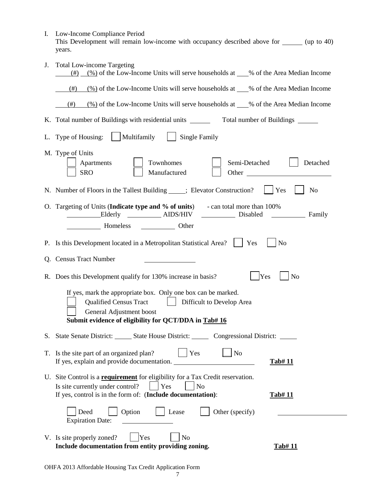| I. Low-Income Compliance Period                                                             |
|---------------------------------------------------------------------------------------------|
| This Development will remain low-income with occupancy described above for<br>(up to $40$ ) |
| years.                                                                                      |
|                                                                                             |

| J. | <b>Total Low-income Targeting</b><br>(%) of the Low-Income Units will serve households at ___% of the Area Median Income<br>(# )                                                                                                   |
|----|------------------------------------------------------------------------------------------------------------------------------------------------------------------------------------------------------------------------------------|
|    | $\frac{(\%)}{0}$ of the Low-Income Units will serve households at $\_\%$ of the Area Median Income<br>(# )                                                                                                                         |
|    | $\frac{(\%)}{(\%)}$ of the Low-Income Units will serve households at ___% of the Area Median Income<br>(#)                                                                                                                         |
|    | K. Total number of Buildings with residential units ______<br>Total number of Buildings                                                                                                                                            |
|    | L. Type of Housing:     Multifamily     Single Family                                                                                                                                                                              |
|    | M. Type of Units<br>Townhomes<br>Semi-Detached<br>Detached<br>Apartments<br>SRO<br>Manufactured                                                                                                                                    |
|    | N <sub>o</sub><br>N. Number of Floors in the Tallest Building _____; Elevator Construction?<br>Yes                                                                                                                                 |
|    | O. Targeting of Units (Indicate type and % of units) - can total more than 100%                                                                                                                                                    |
|    |                                                                                                                                                                                                                                    |
|    | N <sub>o</sub><br>P. Is this Development located in a Metropolitan Statistical Area?<br>Yes                                                                                                                                        |
|    | Q. Census Tract Number                                                                                                                                                                                                             |
|    | Yes<br>R. Does this Development qualify for 130% increase in basis?<br>N <sub>o</sub>                                                                                                                                              |
|    | If yes, mark the appropriate box. Only one box can be marked.<br><b>Qualified Census Tract</b><br>  Difficult to Develop Area<br>General Adjustment boost<br>Submit evidence of eligibility for QCT/DDA in Tab# 16                 |
|    | S. State Senate District: State House District: Congressional District:                                                                                                                                                            |
|    | T. Is the site part of an organized plan?<br>Yes<br>N <sub>o</sub><br>If yes, explain and provide documentation.<br><b>Tab#11</b>                                                                                                  |
|    | U. Site Control is a <b>requirement</b> for eligibility for a Tax Credit reservation.<br>Is site currently under control?<br>Yes<br>N <sub>o</sub><br>If yes, control is in the form of: (Include documentation):<br><b>Tab#11</b> |
|    | Option<br>Other (specify)<br>Lease<br>Deed<br><b>Expiration Date:</b>                                                                                                                                                              |
|    | Yes<br>V. Is site properly zoned?<br>N <sub>o</sub><br>Include documentation from entity providing zoning.<br><b>Tab#11</b>                                                                                                        |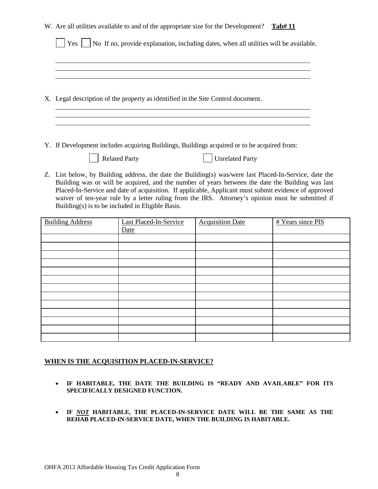|                                                                                                                                                                                                                                                                                                                                                                                                                                                                            |                         | W. Are all utilities available to and of the appropriate size for the Development? |                                                                                            | Tab#11            |
|----------------------------------------------------------------------------------------------------------------------------------------------------------------------------------------------------------------------------------------------------------------------------------------------------------------------------------------------------------------------------------------------------------------------------------------------------------------------------|-------------------------|------------------------------------------------------------------------------------|--------------------------------------------------------------------------------------------|-------------------|
|                                                                                                                                                                                                                                                                                                                                                                                                                                                                            | Yes                     |                                                                                    | No If no, provide explanation, including dates, when all utilities will be available.      |                   |
|                                                                                                                                                                                                                                                                                                                                                                                                                                                                            |                         |                                                                                    |                                                                                            |                   |
|                                                                                                                                                                                                                                                                                                                                                                                                                                                                            |                         |                                                                                    |                                                                                            |                   |
|                                                                                                                                                                                                                                                                                                                                                                                                                                                                            |                         | X. Legal description of the property as identified in the Site Control document.   |                                                                                            |                   |
|                                                                                                                                                                                                                                                                                                                                                                                                                                                                            |                         |                                                                                    |                                                                                            |                   |
|                                                                                                                                                                                                                                                                                                                                                                                                                                                                            |                         |                                                                                    |                                                                                            |                   |
|                                                                                                                                                                                                                                                                                                                                                                                                                                                                            |                         |                                                                                    | Y. If Development includes acquiring Buildings, Buildings acquired or to be acquired from: |                   |
|                                                                                                                                                                                                                                                                                                                                                                                                                                                                            |                         | <b>Related Party</b>                                                               | <b>Unrelated Party</b>                                                                     |                   |
| Z. List below, by Building address, the date the Building(s) was/were last Placed-In-Service, date the<br>Building was or will be acquired, and the number of years between the date the Building was last<br>Placed-In-Service and date of acquisition. If applicable, Applicant must submit evidence of approved<br>waiver of ten-year rule by a letter ruling from the IRS. Attorney's opinion must be submitted if<br>Building(s) is to be included in Eligible Basis. |                         |                                                                                    |                                                                                            |                   |
|                                                                                                                                                                                                                                                                                                                                                                                                                                                                            | <b>Building Address</b> | Last Placed-In-Service<br>Date                                                     | <b>Acquisition Date</b>                                                                    | # Years since PIS |
|                                                                                                                                                                                                                                                                                                                                                                                                                                                                            |                         |                                                                                    |                                                                                            |                   |
|                                                                                                                                                                                                                                                                                                                                                                                                                                                                            |                         |                                                                                    |                                                                                            |                   |
|                                                                                                                                                                                                                                                                                                                                                                                                                                                                            |                         |                                                                                    |                                                                                            |                   |
|                                                                                                                                                                                                                                                                                                                                                                                                                                                                            |                         |                                                                                    |                                                                                            |                   |
|                                                                                                                                                                                                                                                                                                                                                                                                                                                                            |                         |                                                                                    |                                                                                            |                   |
|                                                                                                                                                                                                                                                                                                                                                                                                                                                                            |                         |                                                                                    |                                                                                            |                   |
|                                                                                                                                                                                                                                                                                                                                                                                                                                                                            |                         |                                                                                    |                                                                                            |                   |
|                                                                                                                                                                                                                                                                                                                                                                                                                                                                            |                         |                                                                                    |                                                                                            |                   |
|                                                                                                                                                                                                                                                                                                                                                                                                                                                                            |                         |                                                                                    |                                                                                            |                   |
|                                                                                                                                                                                                                                                                                                                                                                                                                                                                            |                         |                                                                                    |                                                                                            |                   |
|                                                                                                                                                                                                                                                                                                                                                                                                                                                                            |                         |                                                                                    |                                                                                            |                   |

## **WHEN IS THE ACQUISITION PLACED-IN-SERVICE?**

- **IF HABITABLE, THE DATE THE BUILDING IS "READY AND AVAILABLE" FOR ITS SPECIFICALLY DESIGNED FUNCTION.**
- **IF** *NOT* **HABITABLE, THE PLACED-IN-SERVICE DATE WILL BE THE SAME AS THE REHAB PLACED-IN-SERVICE DATE, WHEN THE BUILDING IS HABITABLE.**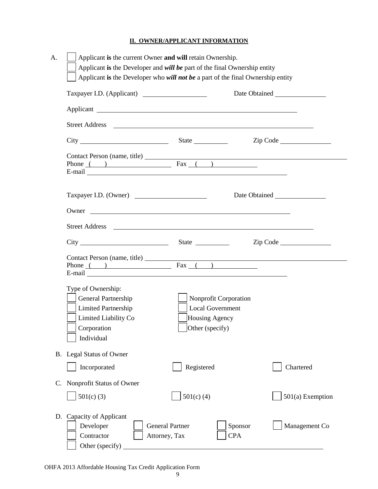## **II. OWNER/APPLICANT INFORMATION**

| Street Address <u>and a street of the street and the street and the street</u>                                                                                                                                                |                                                                                              |                                     |
|-------------------------------------------------------------------------------------------------------------------------------------------------------------------------------------------------------------------------------|----------------------------------------------------------------------------------------------|-------------------------------------|
|                                                                                                                                                                                                                               |                                                                                              | $\mathsf{Zip} \; \mathsf{Code}$     |
| Phone $( )$ Fax $( )$                                                                                                                                                                                                         |                                                                                              |                                     |
| Taxpayer I.D. (Owner)                                                                                                                                                                                                         |                                                                                              |                                     |
| Owner and the contract of the contract of the contract of the contract of the contract of the contract of the contract of the contract of the contract of the contract of the contract of the contract of the contract of the |                                                                                              |                                     |
|                                                                                                                                                                                                                               |                                                                                              |                                     |
|                                                                                                                                                                                                                               |                                                                                              |                                     |
|                                                                                                                                                                                                                               |                                                                                              | Contact Person (name, title) Fax () |
| Type of Ownership:<br>General Partnership<br><b>Limited Partnership</b><br>Limited Liability Co<br>Corporation<br>Individual                                                                                                  | Nonprofit Corporation<br><b>Local Government</b><br>Housing Agency<br>$\Box$ Other (specify) |                                     |
| B. Legal Status of Owner                                                                                                                                                                                                      |                                                                                              |                                     |
| Incorporated                                                                                                                                                                                                                  | Registered                                                                                   | Chartered                           |
| C. Nonprofit Status of Owner                                                                                                                                                                                                  |                                                                                              |                                     |
| $501(c)$ (3)                                                                                                                                                                                                                  | $501(c)$ (4)                                                                                 | 501(a) Exemption                    |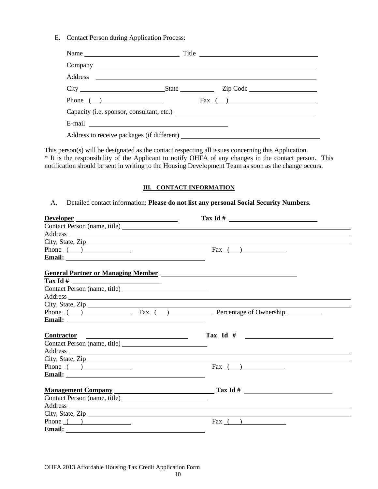E. Contact Person during Application Process:

| Name                                                                                                                                                                                                                                 | Title            |  |  |  |
|--------------------------------------------------------------------------------------------------------------------------------------------------------------------------------------------------------------------------------------|------------------|--|--|--|
|                                                                                                                                                                                                                                      |                  |  |  |  |
|                                                                                                                                                                                                                                      |                  |  |  |  |
|                                                                                                                                                                                                                                      |                  |  |  |  |
| Phone $\qquad)$                                                                                                                                                                                                                      | $\text{Fax}$ ( ) |  |  |  |
| Capacity (i.e. sponsor, consultant, etc.)                                                                                                                                                                                            |                  |  |  |  |
| E-mail <u>example and the set of the set of the set of the set of the set of the set of the set of the set of the set of the set of the set of the set of the set of the set of the set of the set of the set of the set of the </u> |                  |  |  |  |
|                                                                                                                                                                                                                                      |                  |  |  |  |

This person(s) will be designated as the contact respecting all issues concerning this Application. \* It is the responsibility of the Applicant to notify OHFA of any changes in the contact person. This notification should be sent in writing to the Housing Development Team as soon as the change occurs.

#### **III. CONTACT INFORMATION**

#### A. Detailed contact information: **Please do not list any personal Social Security Numbers.**

| Developer                                                                                                                                                                                                                      |                                                                                                                                                                                                                                |
|--------------------------------------------------------------------------------------------------------------------------------------------------------------------------------------------------------------------------------|--------------------------------------------------------------------------------------------------------------------------------------------------------------------------------------------------------------------------------|
|                                                                                                                                                                                                                                |                                                                                                                                                                                                                                |
|                                                                                                                                                                                                                                | Address and the contract of the contract of the contract of the contract of the contract of the contract of the contract of the contract of the contract of the contract of the contract of the contract of the contract of th |
| City, State, Zip                                                                                                                                                                                                               |                                                                                                                                                                                                                                |
| Phone $($ $)$                                                                                                                                                                                                                  | $\text{Fax}$ ( )                                                                                                                                                                                                               |
|                                                                                                                                                                                                                                |                                                                                                                                                                                                                                |
| <b>General Partner or Managing Member</b>                                                                                                                                                                                      |                                                                                                                                                                                                                                |
|                                                                                                                                                                                                                                |                                                                                                                                                                                                                                |
|                                                                                                                                                                                                                                |                                                                                                                                                                                                                                |
| Address and the contract of the contract of the contract of the contract of the contract of the contract of the contract of the contract of the contract of the contract of the contract of the contract of the contract of th |                                                                                                                                                                                                                                |
|                                                                                                                                                                                                                                |                                                                                                                                                                                                                                |
| City, State, Zip<br>Phone ( ) Fax ( ) Percentage of Ownership                                                                                                                                                                  |                                                                                                                                                                                                                                |
|                                                                                                                                                                                                                                |                                                                                                                                                                                                                                |
|                                                                                                                                                                                                                                |                                                                                                                                                                                                                                |
| <u>Contractor</u>                                                                                                                                                                                                              |                                                                                                                                                                                                                                |
|                                                                                                                                                                                                                                |                                                                                                                                                                                                                                |
| Address and the contract of the contract of the contract of the contract of the contract of the contract of the contract of the contract of the contract of the contract of the contract of the contract of the contract of th |                                                                                                                                                                                                                                |
| City, State, Zip                                                                                                                                                                                                               |                                                                                                                                                                                                                                |
| Phone $($ $)$                                                                                                                                                                                                                  | $\text{Fax}$ ( )                                                                                                                                                                                                               |
|                                                                                                                                                                                                                                |                                                                                                                                                                                                                                |
|                                                                                                                                                                                                                                | Management Company Tax Id #                                                                                                                                                                                                    |
|                                                                                                                                                                                                                                |                                                                                                                                                                                                                                |
| Address and the contract of the contract of the contract of the contract of the contract of the contract of the contract of the contract of the contract of the contract of the contract of the contract of the contract of th |                                                                                                                                                                                                                                |
| City, State, Zip $\overline{\phantom{a}}$                                                                                                                                                                                      |                                                                                                                                                                                                                                |
| Phone $($ $)$                                                                                                                                                                                                                  | Fax $($ $)$                                                                                                                                                                                                                    |
|                                                                                                                                                                                                                                |                                                                                                                                                                                                                                |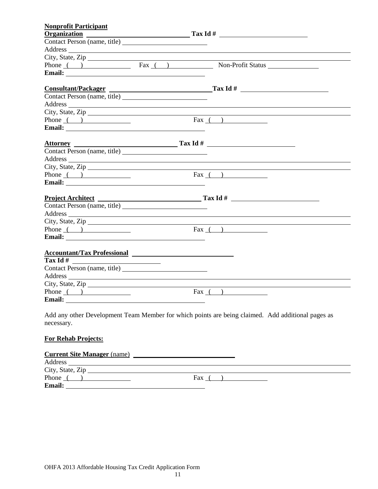| <b>Nonprofit Participant</b>     |                                                                                                                                                                                                                                |
|----------------------------------|--------------------------------------------------------------------------------------------------------------------------------------------------------------------------------------------------------------------------------|
|                                  | $Organization$ $Tax Id#$                                                                                                                                                                                                       |
|                                  |                                                                                                                                                                                                                                |
|                                  | Address and the contract of the contract of the contract of the contract of the contract of the contract of the contract of the contract of the contract of the contract of the contract of the contract of the contract of th |
|                                  |                                                                                                                                                                                                                                |
|                                  | Phone ( ) Fax ( ) Non-Profit Status Non-Profit Status                                                                                                                                                                          |
|                                  |                                                                                                                                                                                                                                |
|                                  | Consultant/Packager Tax Id #                                                                                                                                                                                                   |
|                                  |                                                                                                                                                                                                                                |
|                                  | Address and the contract of the contract of the contract of the contract of the contract of the contract of the contract of the contract of the contract of the contract of the contract of the contract of the contract of th |
|                                  | City, State, Zip                                                                                                                                                                                                               |
| Phone $($ $)$                    | $\text{Fax}$ ( )                                                                                                                                                                                                               |
|                                  |                                                                                                                                                                                                                                |
|                                  |                                                                                                                                                                                                                                |
|                                  | Attorney<br>Contact Person (name, title) Tax Id #                                                                                                                                                                              |
|                                  | Address and the contract of the contract of the contract of the contract of the contract of the contract of the contract of the contract of the contract of the contract of the contract of the contract of the contract of th |
|                                  | City, State, Zip                                                                                                                                                                                                               |
| Phone $\qquad)$                  | $\text{Fax}$ ( )                                                                                                                                                                                                               |
|                                  |                                                                                                                                                                                                                                |
|                                  |                                                                                                                                                                                                                                |
|                                  |                                                                                                                                                                                                                                |
|                                  | Address experience and the contract of the contract of the contract of the contract of the contract of the contract of the contract of the contract of the contract of the contract of the contract of the contract of the con |
| City, State, Zip                 |                                                                                                                                                                                                                                |
| Phone $($ $)$                    | Fax $($ $)$                                                                                                                                                                                                                    |
|                                  |                                                                                                                                                                                                                                |
| Accountant/Tax Professional 2008 |                                                                                                                                                                                                                                |
|                                  |                                                                                                                                                                                                                                |
|                                  |                                                                                                                                                                                                                                |
|                                  |                                                                                                                                                                                                                                |
| City, State, Zip                 |                                                                                                                                                                                                                                |
| Phone $($ $)$                    | Fax $($ $)$                                                                                                                                                                                                                    |
|                                  |                                                                                                                                                                                                                                |
|                                  |                                                                                                                                                                                                                                |

Add any other Development Team Member for which points are being claimed. Add additional pages as necessary.

# **For Rehab Projects:**

#### **Current Site Manager** (name)

| Address          |     |  |
|------------------|-----|--|
| City, State, Zip |     |  |
| Phone            | Fax |  |
| <b>Email:</b>    |     |  |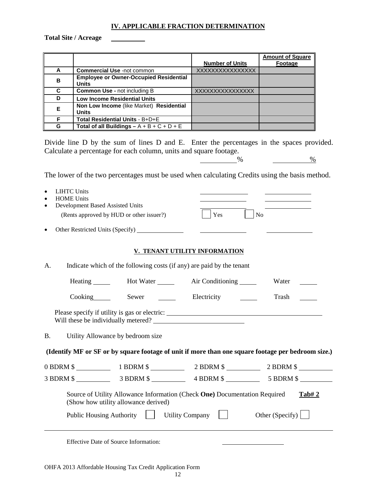#### **IV. APPLICABLE FRACTION DETERMINATION**

**Total Site / Acreage**

|   |                                               |                        | <b>Amount of Square</b> |
|---|-----------------------------------------------|------------------------|-------------------------|
|   |                                               | <b>Number of Units</b> | Footage                 |
| A | <b>Commercial Use -not common</b>             | XXXXXXXXXXXXXXXX       |                         |
| в | <b>Employee or Owner-Occupied Residential</b> |                        |                         |
|   | <b>Units</b>                                  |                        |                         |
| C | <b>Common Use - not including B</b>           | XXXXXXXXXXXXXXXX       |                         |
| D | <b>Low Income Residential Units</b>           |                        |                         |
| Е | Non Low Income (like Market) Residential      |                        |                         |
|   | <b>Units</b>                                  |                        |                         |
| F | Total Residential Units - B+D+E               |                        |                         |
| G | Total of all Buildings $- A + B + C + D + E$  |                        |                         |

Divide line D by the sum of lines D and E. Enter the percentages in the spaces provided. Calculate a percentage for each column, units and square footage.

 $\frac{9}{6}$ 

The lower of the two percentages must be used when calculating Credits using the basis method.

| <b>LIHTC Units</b><br><b>HOME Units</b> | Development Based Assisted Units                                                                                   |                               |                         |
|-----------------------------------------|--------------------------------------------------------------------------------------------------------------------|-------------------------------|-------------------------|
|                                         | (Rents approved by HUD or other issuer?)                                                                           | Yes                           | N <sub>o</sub>          |
|                                         | Other Restricted Units (Specify) _______________                                                                   |                               |                         |
|                                         |                                                                                                                    | V. TENANT UTILITY INFORMATION |                         |
| A.                                      | Indicate which of the following costs (if any) are paid by the tenant                                              |                               |                         |
|                                         | Heating _______ Hot Water ______ Air Conditioning _____                                                            |                               | Water                   |
|                                         | Cooking Sewer Electricity Cooking Sewer                                                                            |                               | Trash                   |
|                                         | Please specify if utility is gas or electric: ___________________________________                                  |                               |                         |
| <b>B.</b>                               | Utility Allowance by bedroom size                                                                                  |                               |                         |
|                                         | (Identify MF or SF or by square footage of unit if more than one square footage per bedroom size.)                 |                               |                         |
|                                         | 0 BDRM \$ 1 BDRM \$ 2 BDRM \$ 2 BDRM \$ 2 BDRM \$                                                                  |                               |                         |
|                                         |                                                                                                                    |                               |                         |
|                                         | Source of Utility Allowance Information (Check One) Documentation Required<br>(Show how utility allowance derived) |                               | Tab#2                   |
|                                         | Public Housing Authority                                                                                           | Utility Company $\vert \vert$ | Other (Specify) $\vert$ |
|                                         |                                                                                                                    |                               |                         |

Effective Date of Source Information: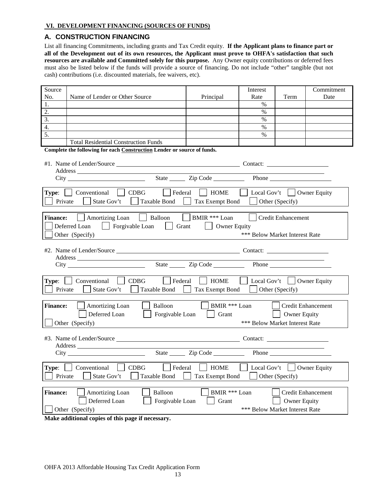#### **VI. DEVELOPMENT FINANCING (SOURCES OF FUNDS)**

#### **A. CONSTRUCTION FINANCING**

List all financing Commitments, including grants and Tax Credit equity. **If the Applicant plans to finance part or all of the Development out of its own resources, the Applicant must prove to OHFA's satisfaction that such resources are available and Committed solely for this purpose.** Any Owner equity contributions or deferred fees must also be listed below if the funds will provide a source of financing. Do not include "other" tangible (but not cash) contributions (i.e. discounted materials, fee waivers, etc).

| Source                                                                              |                                                                         |                       | Interest                       |                                  | Commitment                |
|-------------------------------------------------------------------------------------|-------------------------------------------------------------------------|-----------------------|--------------------------------|----------------------------------|---------------------------|
| No.                                                                                 | Name of Lender or Other Source                                          | Principal             | Rate                           | Term                             | Date                      |
| 1.                                                                                  |                                                                         |                       | $\%$                           |                                  |                           |
| 2.                                                                                  |                                                                         |                       | $\%$                           |                                  |                           |
| 3.                                                                                  |                                                                         |                       | $\%$                           |                                  |                           |
| $\overline{4}$ .                                                                    |                                                                         |                       | $\%$                           |                                  |                           |
| 5.                                                                                  |                                                                         |                       | $\frac{0}{0}$                  |                                  |                           |
|                                                                                     | <b>Total Residential Construction Funds</b>                             |                       |                                |                                  |                           |
|                                                                                     | Complete the following for each Construction Lender or source of funds. |                       |                                |                                  |                           |
|                                                                                     |                                                                         |                       |                                |                                  |                           |
|                                                                                     |                                                                         |                       |                                |                                  |                           |
|                                                                                     |                                                                         |                       |                                |                                  |                           |
|                                                                                     |                                                                         |                       |                                | Phone                            |                           |
|                                                                                     |                                                                         |                       |                                |                                  |                           |
|                                                                                     | $\vert$ Federal<br><b>Type:</b> $\Box$ Conventional $\Box$ CDBG         | <b>HOME</b>           |                                | Local Gov't $\vert$ Owner Equity |                           |
| Private                                                                             | Taxable Bond<br>State Gov't<br>$\mathbf{L}$                             | Tax Exempt Bond       |                                | Other (Specify)                  |                           |
|                                                                                     |                                                                         |                       |                                |                                  |                           |
| <b>Finance:</b>                                                                     | Amortizing Loan     Balloon     BMIR *** Loan                           |                       |                                | Credit Enhancement               |                           |
|                                                                                     |                                                                         |                       |                                |                                  |                           |
|                                                                                     | Deferred Loan<br>  Forgivable Loan<br><b>Grant</b>                      | Owner Equity          |                                |                                  |                           |
|                                                                                     | Other (Specify)                                                         |                       | *** Below Market Interest Rate |                                  |                           |
|                                                                                     |                                                                         |                       |                                |                                  |                           |
|                                                                                     | #2. Name of Lender/Source Contact: Contact:                             |                       |                                |                                  |                           |
|                                                                                     |                                                                         |                       |                                |                                  |                           |
|                                                                                     |                                                                         |                       |                                |                                  |                           |
|                                                                                     |                                                                         |                       |                                |                                  |                           |
|                                                                                     | Type:   Conventional   CDBG<br>$\vert$ Federal                          | HOME                  | Local Gov't     Owner Equity   |                                  |                           |
| Taxable Bond<br>Private<br>State Gov't<br>Tax Exempt Bond<br>$\Box$ Other (Specify) |                                                                         |                       |                                |                                  |                           |
|                                                                                     |                                                                         |                       |                                |                                  |                           |
|                                                                                     |                                                                         |                       |                                |                                  |                           |
| <b>Finance:</b>                                                                     | Amortizing Loan<br>Balloon                                              | BMIR *** Loan         |                                |                                  | <b>Credit Enhancement</b> |
|                                                                                     | Deferred Loan<br>Forgivable Loan                                        | Grant<br>$\mathbf{L}$ |                                | Owner Equity                     |                           |
|                                                                                     | Other (Specify)                                                         |                       | *** Below Market Interest Rate |                                  |                           |
|                                                                                     |                                                                         |                       |                                |                                  |                           |
|                                                                                     |                                                                         |                       |                                |                                  |                           |
|                                                                                     |                                                                         |                       |                                |                                  |                           |
|                                                                                     |                                                                         | State <u>Cip</u> Code |                                |                                  |                           |
|                                                                                     |                                                                         |                       |                                |                                  |                           |
| Type:                                                                               | Conventional<br><b>CDBG</b><br>Federal                                  | <b>HOME</b>           | Local Gov't                    |                                  | <b>Owner Equity</b>       |
|                                                                                     |                                                                         |                       |                                |                                  |                           |
| Private                                                                             | State Gov't<br><b>Taxable Bond</b>                                      | Tax Exempt Bond       |                                | Other (Specify)                  |                           |
|                                                                                     |                                                                         |                       |                                |                                  |                           |
| <b>Finance:</b>                                                                     | Amortizing Loan<br>Balloon                                              | BMIR *** Loan         |                                |                                  | <b>Credit Enhancement</b> |
|                                                                                     | Deferred Loan<br>Forgivable Loan                                        | Grant                 |                                | <b>Owner Equity</b>              |                           |
|                                                                                     | Other (Specify)                                                         |                       | *** Below Market Interest Rate |                                  |                           |
|                                                                                     |                                                                         |                       |                                |                                  |                           |

**Make additional copies of this page if necessary.**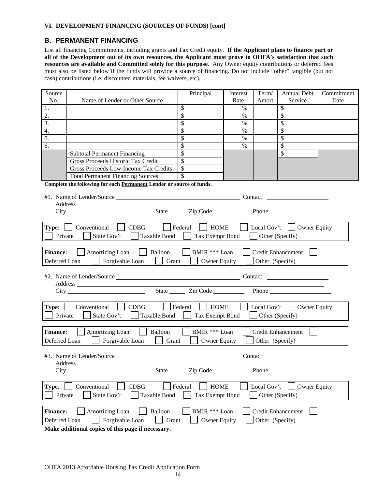#### **VI. DEVELOPMENT FINANCING (SOURCES OF FUNDS) [cont]**

## **B. PERMANENT FINANCING**

List all financing Commitments, including grants and Tax Credit equity. **If the Applicant plans to finance part or all of the Development out of its own resources, the Applicant must prove to OHFA's satisfaction that such resources are available and Committed solely for this purpose.** Any Owner equity contributions or deferred fees must also be listed below if the funds will provide a source of financing. Do not include "other" tangible (but not cash) contributions (i.e. discounted materials, fee waivers, etc).

| Source<br>No.                                                                                          | Name of Lender or Other Source                                                      | Principal              | Interest<br>Rate | Term/<br>Amort  | <b>Annual Debt</b><br>Service                                                                                                                                                                                                 | Commitment<br>Date |
|--------------------------------------------------------------------------------------------------------|-------------------------------------------------------------------------------------|------------------------|------------------|-----------------|-------------------------------------------------------------------------------------------------------------------------------------------------------------------------------------------------------------------------------|--------------------|
| 1.                                                                                                     |                                                                                     | \$                     | $\%$             |                 | \$                                                                                                                                                                                                                            |                    |
| 2.                                                                                                     |                                                                                     | \$                     | $\%$             |                 | \$                                                                                                                                                                                                                            |                    |
| $\overline{3}$ .                                                                                       |                                                                                     | \$                     | $\%$             |                 | \$                                                                                                                                                                                                                            |                    |
| 4.                                                                                                     |                                                                                     | \$                     | $\%$             |                 | \$                                                                                                                                                                                                                            |                    |
| 5.                                                                                                     |                                                                                     | \$                     | $\%$             |                 | \$                                                                                                                                                                                                                            |                    |
| 6.                                                                                                     |                                                                                     | \$                     | $\%$             |                 | \$                                                                                                                                                                                                                            |                    |
|                                                                                                        | <b>Subtotal Permanent Financing</b>                                                 | \$                     |                  |                 | \$                                                                                                                                                                                                                            |                    |
|                                                                                                        | Gross Proceeds Historic Tax Credit                                                  | $\mathbf{\hat{s}}$     |                  |                 |                                                                                                                                                                                                                               |                    |
|                                                                                                        | Gross Proceeds Low-Income Tax Credits                                               | \$                     |                  |                 |                                                                                                                                                                                                                               |                    |
|                                                                                                        | <b>Total Permanent Financing Sources</b>                                            | \$                     |                  |                 |                                                                                                                                                                                                                               |                    |
|                                                                                                        | Complete the following for each Permanent Lender or source of funds.                |                        |                  |                 |                                                                                                                                                                                                                               |                    |
|                                                                                                        |                                                                                     |                        |                  |                 |                                                                                                                                                                                                                               |                    |
|                                                                                                        |                                                                                     |                        |                  |                 |                                                                                                                                                                                                                               |                    |
|                                                                                                        |                                                                                     | State <u>Cip</u> Code  |                  |                 | Phone has a series of the series of the series of the series of the series of the series of the series of the series of the series of the series of the series of the series of the series of the series of the series of the |                    |
|                                                                                                        |                                                                                     |                        |                  |                 |                                                                                                                                                                                                                               |                    |
|                                                                                                        | <b>Type:</b>   Conventional<br>CDBG<br>$\vert$ Federal                              | <b>HOME</b>            |                  |                 | Local Gov't $\vert$ Owner Equity                                                                                                                                                                                              |                    |
| Private                                                                                                | State Gov't<br><b>Taxable Bond</b>                                                  | Tax Exempt Bond        |                  |                 | Other (Specify)                                                                                                                                                                                                               |                    |
|                                                                                                        |                                                                                     |                        |                  |                 |                                                                                                                                                                                                                               |                    |
| <b>Finance:</b>                                                                                        | Amortizing Loan<br>Balloon                                                          | BMIR *** Loan          |                  |                 | <b>Credit Enhancement</b>                                                                                                                                                                                                     |                    |
|                                                                                                        |                                                                                     |                        |                  |                 |                                                                                                                                                                                                                               |                    |
| Deferred Loan<br>Forgivable Loan<br>Other (Specify)<br>Grant<br><b>Owner Equity</b>                    |                                                                                     |                        |                  |                 |                                                                                                                                                                                                                               |                    |
|                                                                                                        |                                                                                     |                        |                  |                 |                                                                                                                                                                                                                               |                    |
| the control of the control of the control of                                                           |                                                                                     |                        |                  |                 |                                                                                                                                                                                                                               |                    |
| State <u>Cip</u> Code <u>Cip</u>                                                                       |                                                                                     |                        |                  |                 |                                                                                                                                                                                                                               |                    |
|                                                                                                        |                                                                                     |                        |                  |                 |                                                                                                                                                                                                                               |                    |
| $\Box$ Federal<br><b>HOME</b><br>Type:<br>Conventional<br>$\vert$ CDBG<br>Local Gov't     Owner Equity |                                                                                     |                        |                  |                 |                                                                                                                                                                                                                               |                    |
| Private                                                                                                | State Gov't<br>Taxable Bond                                                         | Tax Exempt Bond        |                  |                 | Other (Specify)                                                                                                                                                                                                               |                    |
|                                                                                                        |                                                                                     |                        |                  |                 |                                                                                                                                                                                                                               |                    |
| <b>Finance:</b>                                                                                        | Amortizing Loan<br>Balloon                                                          | BMIR *** Loan          |                  |                 | <b>Credit Enhancement</b>                                                                                                                                                                                                     |                    |
| Deferred Loan                                                                                          | Forgivable Loan<br>Grant                                                            | <b>Owner Equity</b>    |                  | Other (Specify) |                                                                                                                                                                                                                               |                    |
|                                                                                                        |                                                                                     |                        |                  |                 |                                                                                                                                                                                                                               |                    |
| #3. Name of Lender/Source<br>Contact:                                                                  |                                                                                     |                        |                  |                 |                                                                                                                                                                                                                               |                    |
| <b>Address</b>                                                                                         |                                                                                     |                        |                  |                 |                                                                                                                                                                                                                               |                    |
| State Zip Code<br>Phone                                                                                |                                                                                     |                        |                  |                 |                                                                                                                                                                                                                               |                    |
|                                                                                                        |                                                                                     |                        |                  |                 |                                                                                                                                                                                                                               |                    |
| Type:                                                                                                  | CDBG<br>Conventional                                                                | Federal<br><b>HOME</b> |                  | Local Gov't     | <b>Owner Equity</b>                                                                                                                                                                                                           |                    |
|                                                                                                        | Private<br>State Gov't<br>Taxable Bond<br><b>Tax Exempt Bond</b><br>Other (Specify) |                        |                  |                 |                                                                                                                                                                                                                               |                    |
|                                                                                                        |                                                                                     |                        |                  |                 |                                                                                                                                                                                                                               |                    |
|                                                                                                        |                                                                                     |                        |                  |                 |                                                                                                                                                                                                                               |                    |
| <b>Finance:</b>                                                                                        | Amortizing Loan<br>Balloon                                                          | BMIR *** Loan          |                  |                 | <b>Credit Enhancement</b>                                                                                                                                                                                                     |                    |
|                                                                                                        | Forgivable Loan<br>Other (Specify)<br>Deferred Loan<br>Grant<br><b>Owner Equity</b> |                        |                  |                 |                                                                                                                                                                                                                               |                    |

**Make additional copies of this page if necessary.**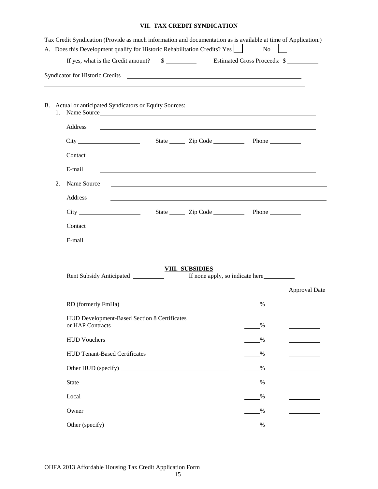## **VII. TAX CREDIT SYNDICATION**

|    | Tax Credit Syndication (Provide as much information and documentation as is available at time of Application.)<br>A. Does this Development qualify for Historic Rehabilitation Credits? Yes<br>If yes, what is the Credit amount? \$ Estimated Gross Proceeds: \$ |                                                                                                                                                                                                                                      | N <sub>o</sub> |                      |
|----|-------------------------------------------------------------------------------------------------------------------------------------------------------------------------------------------------------------------------------------------------------------------|--------------------------------------------------------------------------------------------------------------------------------------------------------------------------------------------------------------------------------------|----------------|----------------------|
|    |                                                                                                                                                                                                                                                                   |                                                                                                                                                                                                                                      |                |                      |
|    | <u> 1989 - Johann Stoff, amerikansk politiker (d. 1989)</u><br>B. Actual or anticipated Syndicators or Equity Sources:<br>1. Name Source                                                                                                                          |                                                                                                                                                                                                                                      |                |                      |
|    | Address                                                                                                                                                                                                                                                           |                                                                                                                                                                                                                                      |                |                      |
|    |                                                                                                                                                                                                                                                                   |                                                                                                                                                                                                                                      |                |                      |
|    | Contact                                                                                                                                                                                                                                                           | <u>state and the state of the state of the state of the state of the state of the state of the state of the state of the state of the state of the state of the state of the state of the state of the state of the state of the</u> |                |                      |
|    | E-mail                                                                                                                                                                                                                                                            | ,我们也不会有一个人的人,我们也不会有一个人的人,我们也不会有一个人的人。""我们,我们也不会有一个人的人,我们也不会有一个人的人,我们也不会有一个人的人,我们                                                                                                                                                     |                |                      |
| 2. | Name Source                                                                                                                                                                                                                                                       | ,我们也不会有一个人的人,我们也不会有一个人的人,我们也不会有一个人的人。""我们,我们也不会有一个人的人,我们也不会有一个人的人。""我们,我们也不会有一个人                                                                                                                                                     |                |                      |
|    | Address                                                                                                                                                                                                                                                           |                                                                                                                                                                                                                                      |                |                      |
|    | $City$ and $(x, y)$                                                                                                                                                                                                                                               | State <u>Cip</u> Code <b>Cip</b> Phone                                                                                                                                                                                               |                |                      |
|    | Contact                                                                                                                                                                                                                                                           |                                                                                                                                                                                                                                      |                |                      |
|    | E-mail                                                                                                                                                                                                                                                            | and the control of the control of the control of the control of the control of the control of the control of the                                                                                                                     |                |                      |
|    | Rent Subsidy Anticipated _________                                                                                                                                                                                                                                | <b>VIII. SUBSIDIES</b>                                                                                                                                                                                                               |                |                      |
|    |                                                                                                                                                                                                                                                                   |                                                                                                                                                                                                                                      |                | <b>Approval Date</b> |
|    | RD (formerly FmHa)                                                                                                                                                                                                                                                |                                                                                                                                                                                                                                      | %              |                      |
|    | HUD Development-Based Section 8 Certificates<br>or HAP Contracts                                                                                                                                                                                                  |                                                                                                                                                                                                                                      | %              |                      |
|    | <b>HUD Vouchers</b>                                                                                                                                                                                                                                               |                                                                                                                                                                                                                                      | %              |                      |
|    | <b>HUD Tenant-Based Certificates</b>                                                                                                                                                                                                                              |                                                                                                                                                                                                                                      | %              |                      |
|    |                                                                                                                                                                                                                                                                   |                                                                                                                                                                                                                                      | $\frac{0}{2}$  |                      |
|    | <b>State</b>                                                                                                                                                                                                                                                      |                                                                                                                                                                                                                                      | %              |                      |
|    | Local                                                                                                                                                                                                                                                             |                                                                                                                                                                                                                                      | %              |                      |
|    | Owner                                                                                                                                                                                                                                                             |                                                                                                                                                                                                                                      | $\%$           |                      |
|    |                                                                                                                                                                                                                                                                   |                                                                                                                                                                                                                                      | $\%$           |                      |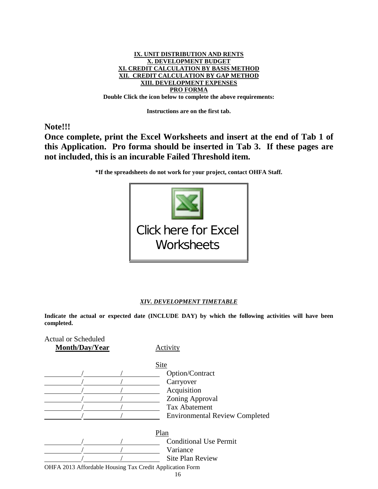

**Instructions are on the first tab.**

**Note!!!**

**Once complete, print the Excel Worksheets and insert at the end of Tab 1 of this Application. Pro forma should be inserted in Tab 3. If these pages are not included, this is an incurable Failed Threshold item.**

**\*If the spreadsheets do not work for your project, contact OHFA Staff.**



#### *XIV. DEVELOPMENT TIMETABLE*

**Indicate the actual or expected date (INCLUDE DAY) by which the following activities will have been completed.** 

| Activity                                                       |
|----------------------------------------------------------------|
|                                                                |
| Site                                                           |
| Option/Contract                                                |
| Carryover                                                      |
| Acquisition                                                    |
| Zoning Approval                                                |
| <b>Tax Abatement</b>                                           |
| <b>Environmental Review Completed</b>                          |
| Plan                                                           |
| <b>Conditional Use Permit</b>                                  |
| Variance                                                       |
| <b>Site Plan Review</b>                                        |
| OHFA 2013 Affordable Housing Tax Credit Application Form<br>16 |
|                                                                |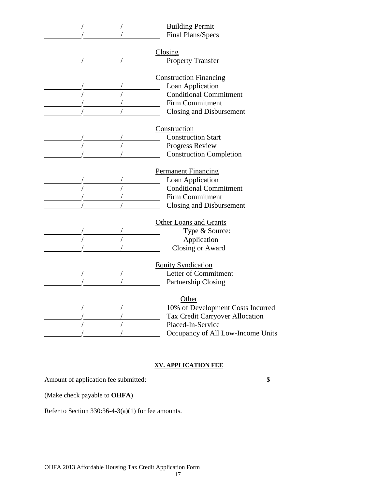| <b>Building Permit</b>            |
|-----------------------------------|
| Final Plans/Specs                 |
|                                   |
| Closing                           |
| <b>Property Transfer</b>          |
|                                   |
| <b>Construction Financing</b>     |
| Loan Application                  |
| <b>Conditional Commitment</b>     |
| <b>Firm Commitment</b>            |
| Closing and Disbursement          |
| Construction                      |
| <b>Construction Start</b>         |
| Progress Review                   |
| <b>Construction Completion</b>    |
|                                   |
| <b>Permanent Financing</b>        |
| Loan Application                  |
| <b>Conditional Commitment</b>     |
| <b>Firm Commitment</b>            |
| Closing and Disbursement          |
|                                   |
| <b>Other Loans and Grants</b>     |
| Type & Source:                    |
| Application                       |
| <b>Closing or Award</b>           |
| <b>Equity Syndication</b>         |
| Letter of Commitment              |
| Partnership Closing               |
|                                   |
| Other                             |
| 10% of Development Costs Incurred |
| Tax Credit Carryover Allocation   |
| Placed-In-Service                 |
| Occupancy of All Low-Income Units |

# **XV. APPLICATION FEE**

Amount of application fee submitted:  $\qquad \qquad$ 

(Make check payable to **OHFA**)

Refer to Section 330:36-4-3(a)(1) for fee amounts.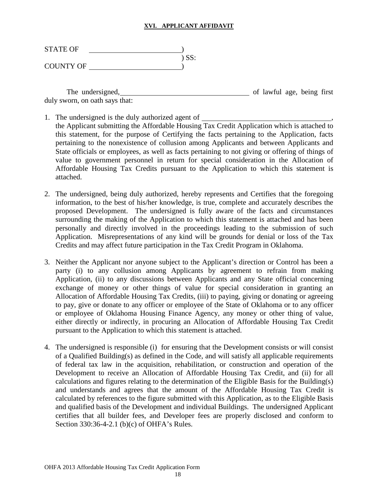### **XVI. APPLICANT AFFIDAVIT**

| <b>STATE OF</b>  |         |
|------------------|---------|
|                  | $)$ SS: |
| <b>COUNTY OF</b> |         |

The undersigned, the undersigned, the undersigned, the undersigned, the undersident of lawful age, being first duly sworn, on oath says that:

- 1. The undersigned is the duly authorized agent of the Applicant submitting the Affordable Housing Tax Credit Application which is attached to this statement, for the purpose of Certifying the facts pertaining to the Application, facts pertaining to the nonexistence of collusion among Applicants and between Applicants and State officials or employees, as well as facts pertaining to not giving or offering of things of value to government personnel in return for special consideration in the Allocation of Affordable Housing Tax Credits pursuant to the Application to which this statement is attached.
- 2. The undersigned, being duly authorized, hereby represents and Certifies that the foregoing information, to the best of his/her knowledge, is true, complete and accurately describes the proposed Development. The undersigned is fully aware of the facts and circumstances surrounding the making of the Application to which this statement is attached and has been personally and directly involved in the proceedings leading to the submission of such Application. Misrepresentations of any kind will be grounds for denial or loss of the Tax Credits and may affect future participation in the Tax Credit Program in Oklahoma.
- 3. Neither the Applicant nor anyone subject to the Applicant's direction or Control has been a party (i) to any collusion among Applicants by agreement to refrain from making Application, (ii) to any discussions between Applicants and any State official concerning exchange of money or other things of value for special consideration in granting an Allocation of Affordable Housing Tax Credits, (iii) to paying, giving or donating or agreeing to pay, give or donate to any officer or employee of the State of Oklahoma or to any officer or employee of Oklahoma Housing Finance Agency, any money or other thing of value, either directly or indirectly, in procuring an Allocation of Affordable Housing Tax Credit pursuant to the Application to which this statement is attached.
- 4. The undersigned is responsible (i) for ensuring that the Development consists or will consist of a Qualified Building(s) as defined in the Code, and will satisfy all applicable requirements of federal tax law in the acquisition, rehabilitation, or construction and operation of the Development to receive an Allocation of Affordable Housing Tax Credit, and (ii) for all calculations and figures relating to the determination of the Eligible Basis for the Building(s) and understands and agrees that the amount of the Affordable Housing Tax Credit is calculated by references to the figure submitted with this Application, as to the Eligible Basis and qualified basis of the Development and individual Buildings. The undersigned Applicant certifies that all builder fees, and Developer fees are properly disclosed and conform to Section 330:36-4-2.1 (b)(c) of OHFA's Rules.